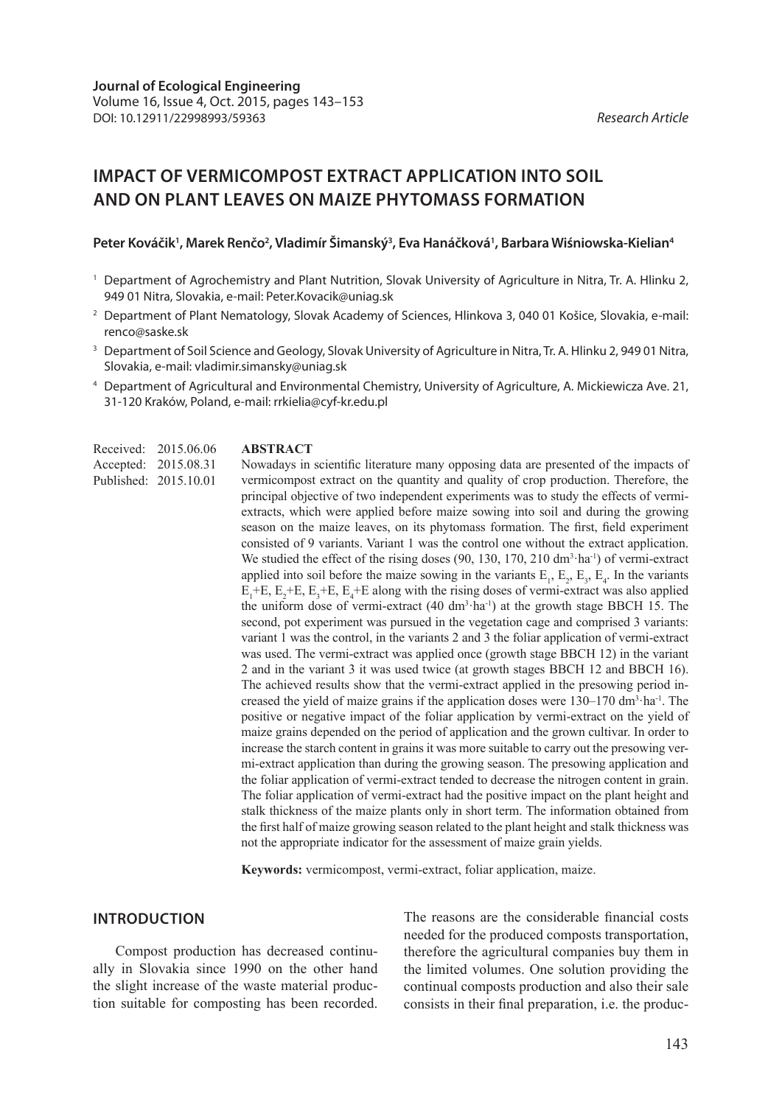# **IMPACT OF VERMICOMPOST EXTRACT APPLICATION INTO SOIL AND ON PLANT LEAVES ON MAIZE PHYTOMASS FORMATION**

#### Peter Kováčik<sup>1</sup>, Marek Renčo<sup>2</sup>, Vladimír Šimanský<sup>3</sup>, Eva Hanáčková<sup>1</sup>, Barbara Wiśniowska-Kielian<sup>4</sup>

- <sup>1</sup> Department of Agrochemistry and Plant Nutrition, Slovak University of Agriculture in Nitra, Tr. A. Hlinku 2, 949 01 Nitra, Slovakia, e-mail: Peter.Kovacik@uniag.sk
- <sup>2</sup> Department of Plant Nematology, Slovak Academy of Sciences, Hlinkova 3, 040 01 Košice, Slovakia, e-mail: renco@saske.sk
- <sup>3</sup> Department of Soil Science and Geology, Slovak University of Agriculture in Nitra, Tr. A. Hlinku 2, 949 01 Nitra, Slovakia, e-mail: vladimir.simansky@uniag.sk
- <sup>4</sup> Department of Agricultural and Environmental Chemistry, University of Agriculture, A. Mickiewicza Ave. 21, 31-120 Kraków, Poland, e-mail: rrkielia@cyf-kr.edu.pl

Received: 2015.06.06 Accepted: 2015.08.31

#### **ABSTRACT**

Nowadays in scientific literature many opposing data are presented of the impacts of vermicompost extract on the quantity and quality of crop production. Therefore, the principal objective of two independent experiments was to study the effects of vermiextracts, which were applied before maize sowing into soil and during the growing season on the maize leaves, on its phytomass formation. The first, field experiment consisted of 9 variants. Variant 1 was the control one without the extract application. We studied the effect of the rising doses  $(90, 130, 170, 210 \text{ dm}^3 \cdot \text{ha}^{-1})$  of vermi-extract applied into soil before the maize sowing in the variants  $E_1$ ,  $E_2$ ,  $E_3$ ,  $E_4$ . In the variants  $E_1$ +E,  $E_2$ +E,  $E_3$ +E,  $E_4$ +E along with the rising doses of vermi-extract was also applied the uniform dose of vermi-extract  $(40 \text{ dm}^3 \text{ ha}^{-1})$  at the growth stage BBCH 15. The second, pot experiment was pursued in the vegetation cage and comprised 3 variants: variant 1 was the control, in the variants 2 and 3 the foliar application of vermi-extract was used. The vermi-extract was applied once (growth stage BBCH 12) in the variant 2 and in the variant 3 it was used twice (at growth stages BBCH 12 and BBCH 16). The achieved results show that the vermi-extract applied in the presowing period increased the yield of maize grains if the application doses were  $130-170$  dm<sup>3</sup> ha<sup>-1</sup>. The positive or negative impact of the foliar application by vermi-extract on the yield of maize grains depended on the period of application and the grown cultivar. In order to increase the starch content in grains it was more suitable to carry out the presowing vermi-extract application than during the growing season. The presowing application and the foliar application of vermi-extract tended to decrease the nitrogen content in grain. The foliar application of vermi-extract had the positive impact on the plant height and stalk thickness of the maize plants only in short term. The information obtained from the first half of maize growing season related to the plant height and stalk thickness was not the appropriate indicator for the assessment of maize grain yields. Published: 2015.10.01

**Keywords:** vermicompost, vermi-extract, foliar application, maize.

#### **INTRODUCTION**

Compost production has decreased continually in Slovakia since 1990 on the other hand the slight increase of the waste material production suitable for composting has been recorded. The reasons are the considerable financial costs needed for the produced composts transportation, therefore the agricultural companies buy them in the limited volumes. One solution providing the continual composts production and also their sale consists in their final preparation, i.e. the produc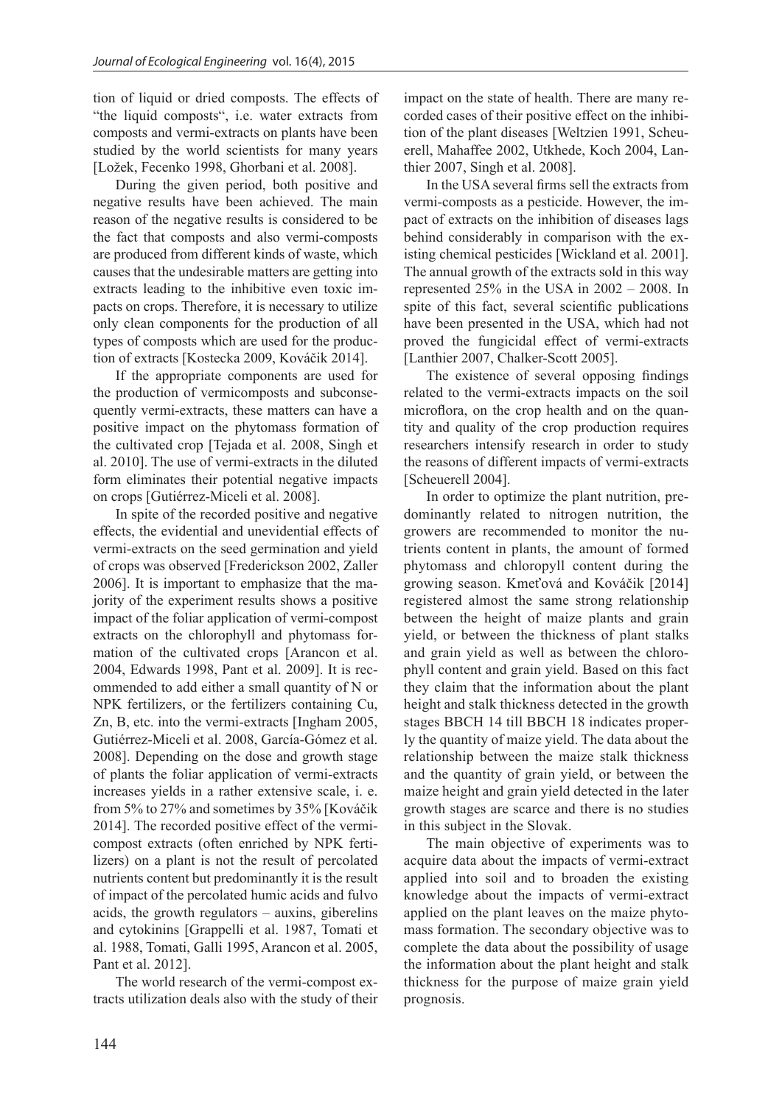tion of liquid or dried composts. The effects of "the liquid composts", i.e. water extracts from composts and vermi-extracts on plants have been studied by the world scientists for many years [Ložek, Fecenko 1998, Ghorbani et al. 2008].

During the given period, both positive and negative results have been achieved. The main reason of the negative results is considered to be the fact that composts and also vermi-composts are produced from different kinds of waste, which causes that the undesirable matters are getting into extracts leading to the inhibitive even toxic impacts on crops. Therefore, it is necessary to utilize only clean components for the production of all types of composts which are used for the production of extracts [Kostecka 2009, Kováčik 2014].

If the appropriate components are used for the production of vermicomposts and subconsequently vermi-extracts, these matters can have a positive impact on the phytomass formation of the cultivated crop [Tejada et al. 2008, Singh et al. 2010]. The use of vermi-extracts in the diluted form eliminates their potential negative impacts on crops [Gutiérrez-Miceli et al. 2008].

In spite of the recorded positive and negative effects, the evidential and unevidential effects of vermi-extracts on the seed germination and yield of crops was observed [Frederickson 2002, Zaller 2006]. It is important to emphasize that the majority of the experiment results shows a positive impact of the foliar application of vermi-compost extracts on the chlorophyll and phytomass formation of the cultivated crops [Arancon et al. 2004, Edwards 1998, Pant et al. 2009]. It is recommended to add either a small quantity of N or NPK fertilizers, or the fertilizers containing Cu, Zn, B, etc. into the vermi-extracts [Ingham 2005, Gutiérrez-Miceli et al. 2008, García-Gómez et al. 2008]. Depending on the dose and growth stage of plants the foliar application of vermi-extracts increases yields in a rather extensive scale, i. e. from 5% to 27% and sometimes by 35% [Kováčik 2014]. The recorded positive effect of the vermicompost extracts (often enriched by NPK fertilizers) on a plant is not the result of percolated nutrients content but predominantly it is the result of impact of the percolated humic acids and fulvo acids, the growth regulators – auxins, giberelins and cytokinins [Grappelli et al. 1987, Tomati et al. 1988, Tomati, Galli 1995, Arancon et al. 2005, Pant et al. 2012].

The world research of the vermi-compost extracts utilization deals also with the study of their impact on the state of health. There are many recorded cases of their positive effect on the inhibition of the plant diseases [Weltzien 1991, Scheuerell, Mahaffee 2002, Utkhede, Koch 2004, Lanthier 2007, Singh et al. 2008].

In the USA several firms sell the extracts from vermi-composts as a pesticide. However, the impact of extracts on the inhibition of diseases lags behind considerably in comparison with the existing chemical pesticides [Wickland et al. 2001]. The annual growth of the extracts sold in this way represented 25% in the USA in 2002 – 2008. In spite of this fact, several scientific publications have been presented in the USA, which had not proved the fungicidal effect of vermi-extracts [Lanthier 2007, Chalker-Scott 2005].

The existence of several opposing findings related to the vermi-extracts impacts on the soil microflora, on the crop health and on the quantity and quality of the crop production requires researchers intensify research in order to study the reasons of different impacts of vermi-extracts [Scheuerell 2004].

In order to optimize the plant nutrition, predominantly related to nitrogen nutrition, the growers are recommended to monitor the nutrients content in plants, the amount of formed phytomass and chloropyll content during the growing season. Kmeťová and Kováčik [2014] registered almost the same strong relationship between the height of maize plants and grain yield, or between the thickness of plant stalks and grain yield as well as between the chlorophyll content and grain yield. Based on this fact they claim that the information about the plant height and stalk thickness detected in the growth stages BBCH 14 till BBCH 18 indicates properly the quantity of maize yield. The data about the relationship between the maize stalk thickness and the quantity of grain yield, or between the maize height and grain yield detected in the later growth stages are scarce and there is no studies in this subject in the Slovak.

The main objective of experiments was to acquire data about the impacts of vermi-extract applied into soil and to broaden the existing knowledge about the impacts of vermi-extract applied on the plant leaves on the maize phytomass formation. The secondary objective was to complete the data about the possibility of usage the information about the plant height and stalk thickness for the purpose of maize grain yield prognosis.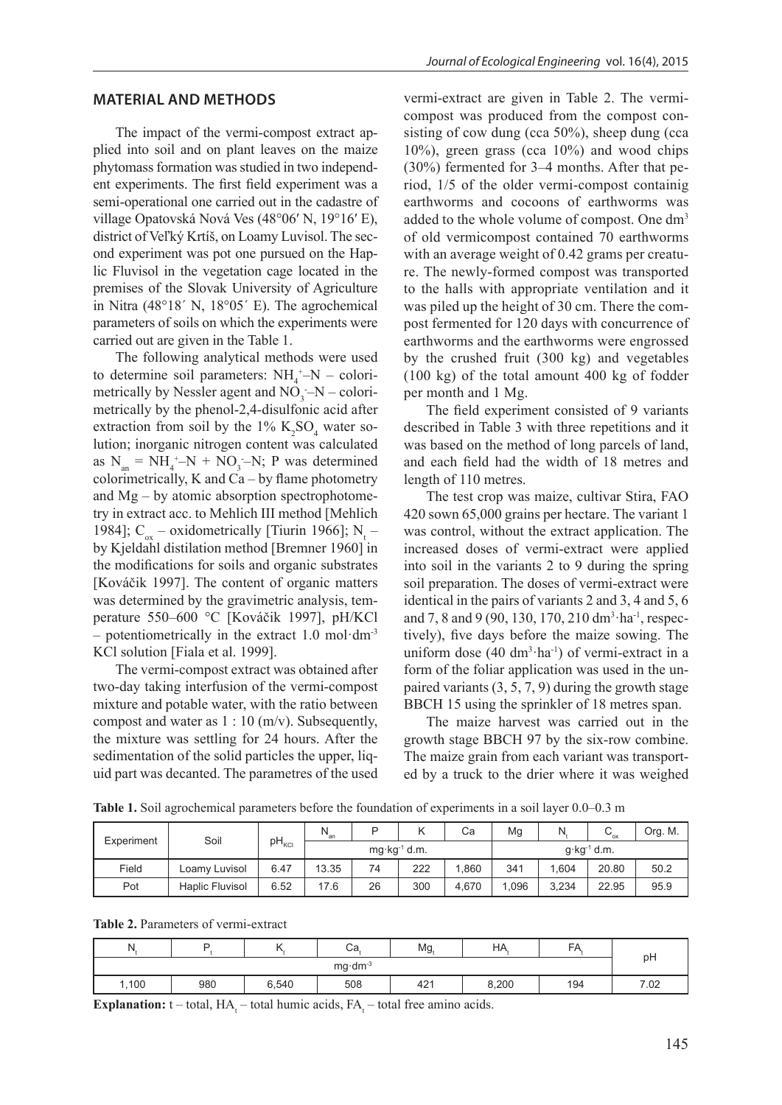#### **MATERIAL AND METHODS**

The impact of the vermi-compost extract applied into soil and on plant leaves on the maize phytomass formation was studied in two independent experiments. The first field experiment was a semi-operational one carried out in the cadastre of village Opatovská Nová Ves (48°06′ N, 19°16′ E), district of Veľký Krtíš, on Loamy Luvisol. The second experiment was pot one pursued on the Haplic Fluvisol in the vegetation cage located in the premises of the Slovak University of Agriculture in Nitra (48°18´ N, 18°05´ E). The agrochemical parameters of soils on which the experiments were carried out are given in the Table 1.

The following analytical methods were used to determine soil parameters:  $NH_4^+$ -N – colorimetrically by Nessler agent and  $NO_3$ <sup>-</sup> $N$  – colorimetrically by the phenol-2,4-disulfonic acid after extraction from soil by the  $1\%$  K<sub>2</sub>SO<sub>4</sub> water solution; inorganic nitrogen content was calculated as  $N_{an} = NH_4^+ - N + NO_3^- - N$ ; P was determined colorimetrically, K and Ca – by flame photometry and Mg – by atomic absorption spectrophotometry in extract acc. to Mehlich III method [Mehlich 1984];  $C_{ox}$  – oxidometrically [Tiurin 1966]; N<sub>t</sub> – by Kjeldahl distilation method [Bremner 1960] in the modifications for soils and organic substrates [Kováčik 1997]. The content of organic matters was determined by the gravimetric analysis, temperature 550–600 °C [Kováčik 1997], pH/KCl – potentiometrically in the extract  $1.0 \text{ mol} \cdot \text{dm}^{-3}$ KCl solution [Fiala et al. 1999].

The vermi-compost extract was obtained after two-day taking interfusion of the vermi-compost mixture and potable water, with the ratio between compost and water as  $1:10 \, (\text{m/v})$ . Subsequently, the mixture was settling for 24 hours. After the sedimentation of the solid particles the upper, liquid part was decanted. The parametres of the used

vermi-extract are given in Table 2. The vermicompost was produced from the compost consisting of cow dung (cca 50%), sheep dung (cca 10%), green grass (cca 10%) and wood chips (30%) fermented for 3–4 months. After that period, 1/5 of the older vermi-compost containig earthworms and cocoons of earthworms was added to the whole volume of compost. One dm<sup>3</sup> of old vermicompost contained 70 earthworms with an average weight of 0.42 grams per creature. The newly-formed compost was transported to the halls with appropriate ventilation and it was piled up the height of 30 cm. There the compost fermented for 120 days with concurrence of earthworms and the earthworms were engrossed by the crushed fruit (300 kg) and vegetables (100 kg) of the total amount 400 kg of fodder per month and 1 Mg.

The field experiment consisted of 9 variants described in Table 3 with three repetitions and it was based on the method of long parcels of land, and each field had the width of 18 metres and length of 110 metres.

The test crop was maize, cultivar Stira, FAO 420 sown 65,000 grains per hectare. The variant 1 was control, without the extract application. The increased doses of vermi-extract were applied into soil in the variants 2 to 9 during the spring soil preparation. The doses of vermi-extract were identical in the pairs of variants 2 and 3, 4 and 5, 6 and 7, 8 and 9 (90, 130, 170, 210 dm<sup>3</sup>·ha<sup>-1</sup>, respectively), five days before the maize sowing. The uniform dose  $(40 \text{ dm}^3 \cdot \text{ha}^{-1})$  of vermi-extract in a form of the foliar application was used in the unpaired variants (3, 5, 7, 9) during the growth stage BBCH 15 using the sprinkler of 18 metres span.

The maize harvest was carried out in the growth stage BBCH 97 by the six-row combine. The maize grain from each variant was transported by a truck to the drier where it was weighed

| Experiment | Soil            |                         | $N_{an}$ | D                        |     | Ca    | Mg                        |       | $\mathbf{v}_{\rm ox}$ | Org. M. |
|------------|-----------------|-------------------------|----------|--------------------------|-----|-------|---------------------------|-------|-----------------------|---------|
|            |                 | $pH_{\text{\tiny KCI}}$ |          | mg·kg <sup>-1</sup> d.m. |     |       | $q$ kg <sup>-1</sup> d.m. |       |                       |         |
| Field      | Loamy Luvisol   | 6.47                    | 13.35    | 74                       | 222 | .860  | 341                       | 1.604 | 20.80                 | 50.2    |
| Pot        | Haplic Fluvisol | 6.52                    | 17.6     | 26                       | 300 | 4.670 | 1,096                     | 3.234 | 22.95                 | 95.9    |

**Table 1.** Soil agrochemical parameters before the foundation of experiments in a soil layer 0.0–0.3 m

**Table 2.** Parameters of vermi-extract

| N     | n       |       | Ca  | $Mg_t$ | НA    | FA  | pH   |  |  |
|-------|---------|-------|-----|--------|-------|-----|------|--|--|
|       | mg·dm-3 |       |     |        |       |     |      |  |  |
| 1,100 | 980     | 6,540 | 508 | 421    | 8,200 | 194 | 7.02 |  |  |

**Explanation:**  $t - total$ ,  $HA_t - total$  humic acids,  $FA_t - total$  free amino acids.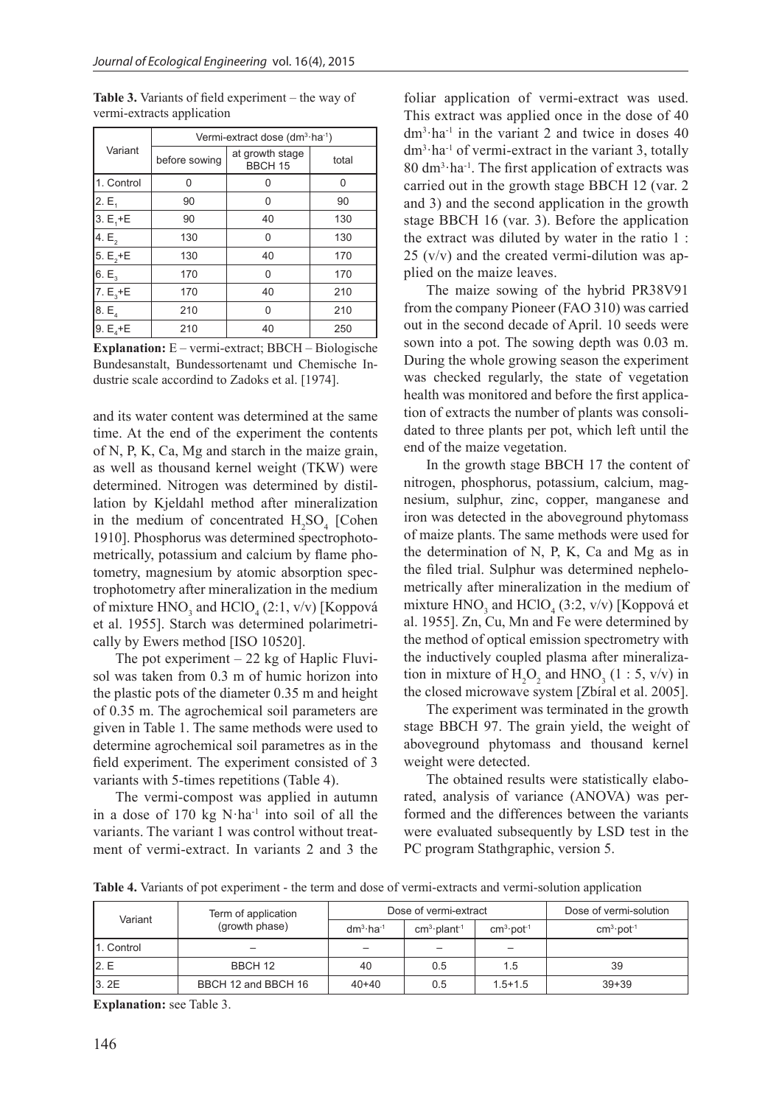|                |               | Vermi-extract dose (dm <sup>3</sup> ·ha <sup>-1</sup> ) |       |
|----------------|---------------|---------------------------------------------------------|-------|
| Variant        | before sowing | at growth stage<br><b>BBCH 15</b>                       | total |
| 1. Control     | 0             | O                                                       | 0     |
| 2.E,           | 90            | 0                                                       | 90    |
| $3. E, +E$     | 90            | 40                                                      | 130   |
| 4. $E_{2}$     | 130           | 0                                                       | 130   |
| 5. $E_{2} + E$ | 130           | 40                                                      | 170   |
| $6. E_3$       | 170           | 0                                                       | 170   |
| 7. $E_3 + E$   | 170           | 40                                                      | 210   |
| $8. E_4$       | 210           | 0                                                       | 210   |
| 9. $E_4 + E$   | 210           | 40                                                      | 250   |

**Table 3.** Variants of field experiment – the way of vermi-extracts application

**Explanation:** E – vermi-extract; BBCH – Biologische Bundesanstalt, Bundessortenamt und Chemische Industrie scale accordind to Zadoks et al. [1974].

and its water content was determined at the same time. At the end of the experiment the contents of N, P, K, Ca, Mg and starch in the maize grain, as well as thousand kernel weight (TKW) were determined. Nitrogen was determined by distillation by Kjeldahl method after mineralization in the medium of concentrated  $H_2SO_4$  [Cohen 1910]. Phosphorus was determined spectrophotometrically, potassium and calcium by flame photometry, magnesium by atomic absorption spectrophotometry after mineralization in the medium of mixture  $HNO<sub>3</sub>$  and  $HClO<sub>4</sub>(2:1, v/v)$  [Koppová et al. 1955]. Starch was determined polarimetrically by Ewers method [ISO 10520].

The pot experiment  $-22$  kg of Haplic Fluvisol was taken from 0.3 m of humic horizon into the plastic pots of the diameter 0.35 m and height of 0.35 m. The agrochemical soil parameters are given in Table 1. The same methods were used to determine agrochemical soil parametres as in the field experiment. The experiment consisted of 3 variants with 5-times repetitions (Table 4).

The vermi-compost was applied in autumn in a dose of  $170 \text{ kg}$  N·ha<sup>-1</sup> into soil of all the variants. The variant 1 was control without treatment of vermi-extract. In variants 2 and 3 the

foliar application of vermi-extract was used. This extract was applied once in the dose of 40  $dm<sup>3</sup>·ha<sup>-1</sup>$  in the variant 2 and twice in doses 40  $dm<sup>3</sup>·ha<sup>-1</sup>$  of vermi-extract in the variant 3, totally 80 dm3 ·ha-1. The first application of extracts was carried out in the growth stage BBCH 12 (var. 2 and 3) and the second application in the growth stage BBCH 16 (var. 3). Before the application the extract was diluted by water in the ratio 1 : 25 (v/v) and the created vermi-dilution was applied on the maize leaves.

The maize sowing of the hybrid PR38V91 from the company Pioneer (FAO 310) was carried out in the second decade of April. 10 seeds were sown into a pot. The sowing depth was 0.03 m. During the whole growing season the experiment was checked regularly, the state of vegetation health was monitored and before the first application of extracts the number of plants was consolidated to three plants per pot, which left until the end of the maize vegetation.

In the growth stage BBCH 17 the content of nitrogen, phosphorus, potassium, calcium, magnesium, sulphur, zinc, copper, manganese and iron was detected in the aboveground phytomass of maize plants. The same methods were used for the determination of N, P, K, Ca and Mg as in the filed trial. Sulphur was determined nephelometrically after mineralization in the medium of mixture  $HNO<sub>3</sub>$  and  $HClO<sub>4</sub>$  (3:2, v/v) [Koppová et al. 1955]. Zn, Cu, Mn and Fe were determined by the method of optical emission spectrometry with the inductively coupled plasma after mineralization in mixture of  $H_2O_2$  and  $HNO_3$  (1 : 5, v/v) in the closed microwave system [Zbíral et al. 2005].

The experiment was terminated in the growth stage BBCH 97. The grain yield, the weight of aboveground phytomass and thousand kernel weight were detected.

The obtained results were statistically elaborated, analysis of variance (ANOVA) was performed and the differences between the variants were evaluated subsequently by LSD test in the PC program Stathgraphic, version 5.

**Table 4.** Variants of pot experiment - the term and dose of vermi-extracts and vermi-solution application

| Variant     | Term of application |            | Dose of vermi-extract      | Dose of vermi-solution   |             |
|-------------|---------------------|------------|----------------------------|--------------------------|-------------|
|             | (growth phase)      | $dm3·ha-1$ | $cm3$ -plant <sup>-1</sup> | $cm3·pot-1$              | $cm3·pot-1$ |
| 11. Control |                     |            |                            | $\overline{\phantom{0}}$ |             |
| 12.E        | BBCH 12             | 40         | 0.5                        | 1.5                      | 39          |
| 3.2E        | BBCH 12 and BBCH 16 | $40 + 40$  | 0.5                        | $1.5 + 1.5$              | $39 + 39$   |

**Explanation:** see Table 3.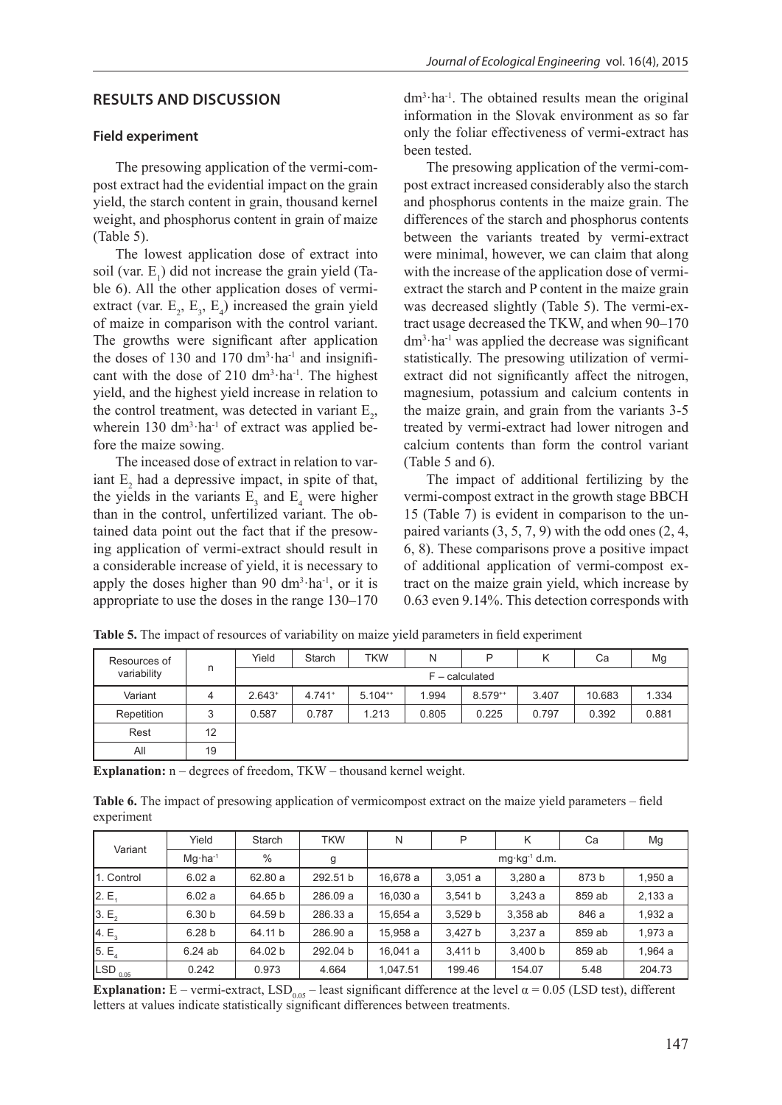### **RESULTS AND DISCUSSION**

#### **Field experiment**

The presowing application of the vermi-compost extract had the evidential impact on the grain yield, the starch content in grain, thousand kernel weight, and phosphorus content in grain of maize (Table 5).

The lowest application dose of extract into soil (var.  $E_1$ ) did not increase the grain yield (Table 6). All the other application doses of vermiextract (var.  $E_2$ ,  $E_3$ ,  $E_4$ ) increased the grain yield of maize in comparison with the control variant. The growths were significant after application the doses of 130 and 170  $\text{dm}^3 \cdot \text{ha}^{-1}$  and insignificant with the dose of  $210 \text{ dm}^3 \cdot \text{ha}^{-1}$ . The highest yield, and the highest yield increase in relation to the control treatment, was detected in variant  $E_2$ , wherein  $130 \text{ dm}^3 \cdot \text{ha}^{-1}$  of extract was applied before the maize sowing.

The inceased dose of extract in relation to variant  $E_2$  had a depressive impact, in spite of that, the yields in the variants  $E_3$  and  $E_4$  were higher than in the control, unfertilized variant. The obtained data point out the fact that if the presowing application of vermi-extract should result in a considerable increase of yield, it is necessary to apply the doses higher than 90  $dm<sup>3</sup>·ha<sup>-1</sup>$ , or it is appropriate to use the doses in the range 130–170

dm3 ·ha-1. The obtained results mean the original information in the Slovak environment as so far only the foliar effectiveness of vermi-extract has been tested.

The presowing application of the vermi-compost extract increased considerably also the starch and phosphorus contents in the maize grain. The differences of the starch and phosphorus contents between the variants treated by vermi-extract were minimal, however, we can claim that along with the increase of the application dose of vermiextract the starch and P content in the maize grain was decreased slightly (Table 5). The vermi-extract usage decreased the TKW, and when 90–170 dm3 ·ha-1 was applied the decrease was significant statistically. The presowing utilization of vermiextract did not significantly affect the nitrogen, magnesium, potassium and calcium contents in the maize grain, and grain from the variants 3-5 treated by vermi-extract had lower nitrogen and calcium contents than form the control variant (Table 5 and 6).

The impact of additional fertilizing by the vermi-compost extract in the growth stage BBCH 15 (Table 7) is evident in comparison to the unpaired variants  $(3, 5, 7, 9)$  with the odd ones  $(2, 4, 1)$ 6, 8). These comparisons prove a positive impact of additional application of vermi-compost extract on the maize grain yield, which increase by 0.63 even 9.14%. This detection corresponds with

| Resources of<br>variability |    | Yield            | Starch               | <b>TKW</b>   | N     | P            | κ     | Ca     | Mg    |  |
|-----------------------------|----|------------------|----------------------|--------------|-------|--------------|-------|--------|-------|--|
|                             | n  | $F - calculated$ |                      |              |       |              |       |        |       |  |
| Variant                     | 4  | $2.643+$         | $4.741$ <sup>+</sup> | $5.104^{++}$ | 1.994 | $8.579^{++}$ | 3.407 | 10.683 | 1.334 |  |
| Repetition                  | 3  | 0.587            | 0.787                | 1.213        | 0.805 | 0.225        | 0.797 | 0.392  | 0.881 |  |
| Rest                        | 12 |                  |                      |              |       |              |       |        |       |  |
| All                         | 19 |                  |                      |              |       |              |       |        |       |  |

**Table 5.** The impact of resources of variability on maize yield parameters in field experiment

**Explanation:**  $n -$  degrees of freedom, TKW – thousand kernel weight.

**Table 6.** The impact of presowing application of vermicompost extract on the maize yield parameters – field experiment

| Variant             | Yield              | Starch  | <b>TKW</b> | N        | Ρ                       | K        | Ca     | Mg      |  |
|---------------------|--------------------|---------|------------|----------|-------------------------|----------|--------|---------|--|
|                     | $Mq \cdot ha^{-1}$ | $\%$    | g          |          | $mg \cdot kg^{-1}$ d.m. |          |        |         |  |
| 11. Control         | 6.02a              | 62.80 a | 292.51 b   | 16.678 a | 3,051a                  | 3.280a   | 873 b  | 1,950 a |  |
| 2.E <sub>1</sub>    | 6.02a              | 64.65 b | 286.09 a   | 16.030 a | 3.541 b                 | 3.243a   | 859 ab | 2,133a  |  |
| 3.E <sub>2</sub>    | 6.30 b             | 64.59 b | 286.33 a   | 15.654 a | 3,529 b                 | 3,358 ab | 846 a  | 1,932 a |  |
| 4.E <sub>3</sub>    | 6.28 <sub>b</sub>  | 64.11 b | 286.90 a   | 15.958 a | 3.427 b                 | 3.237a   | 859 ab | 1,973 a |  |
| 5.E <sub>4</sub>    | 6.24ab             | 64.02 b | 292.04 b   | 16,041 a | 3.411 b                 | 3.400 b  | 859 ab | 1,964 a |  |
| LSD <sub>0.05</sub> | 0.242              | 0.973   | 4.664      | 1.047.51 | 199.46                  | 154.07   | 5.48   | 204.73  |  |

**Explanation:** E – vermi-extract,  $LSD_{0.05}$  – least significant difference at the level  $\alpha = 0.05$  (LSD test), different letters at values indicate statistically significant differences between treatments.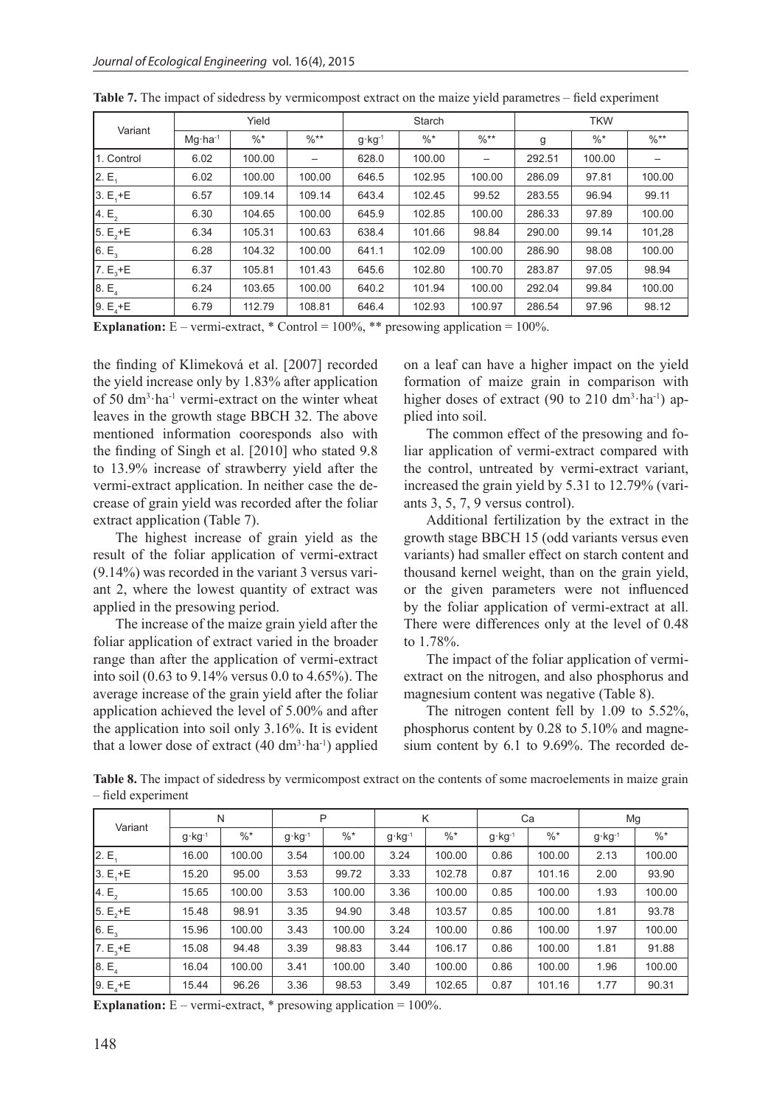| Variant          | Yield              |        |                  |                   | Starch |                  | <b>TKW</b> |        |        |  |
|------------------|--------------------|--------|------------------|-------------------|--------|------------------|------------|--------|--------|--|
|                  | $Mq \cdot ha^{-1}$ | $\% *$ | $\frac{0}{6}$ ** | $g \cdot kg^{-1}$ | $\%$ * | $\frac{9}{6}$ ** | g          | $\%$ * | $\%**$ |  |
| 1. Control       | 6.02               | 100.00 |                  | 628.0             | 100.00 | —                | 292.51     | 100.00 |        |  |
| 2.E <sub>1</sub> | 6.02               | 100.00 | 100.00           | 646.5             | 102.95 | 100.00           | 286.09     | 97.81  | 100.00 |  |
| $3. E, +E$       | 6.57               | 109.14 | 109.14           | 643.4             | 102.45 | 99.52            | 283.55     | 96.94  | 99.11  |  |
| 4.E <sub>2</sub> | 6.30               | 104.65 | 100.00           | 645.9             | 102.85 | 100.00           | 286.33     | 97.89  | 100.00 |  |
| $5. E, +E$       | 6.34               | 105.31 | 100.63           | 638.4             | 101.66 | 98.84            | 290.00     | 99.14  | 101,28 |  |
| 6. $E_3$         | 6.28               | 104.32 | 100.00           | 641.1             | 102.09 | 100.00           | 286.90     | 98.08  | 100.00 |  |
| 7. $E_3 + E$     | 6.37               | 105.81 | 101.43           | 645.6             | 102.80 | 100.70           | 283.87     | 97.05  | 98.94  |  |
| 8.E <sub>4</sub> | 6.24               | 103.65 | 100.00           | 640.2             | 101.94 | 100.00           | 292.04     | 99.84  | 100.00 |  |
| 9. $E_4 + E$     | 6.79               | 112.79 | 108.81           | 646.4             | 102.93 | 100.97           | 286.54     | 97.96  | 98.12  |  |

**Explanation:** E – vermi-extract,  $*$  Control = 100%,  $**$  presowing application = 100%.

the finding of Klimeková et al. [2007] recorded the yield increase only by 1.83% after application of 50 dm3 ·ha-1 vermi-extract on the winter wheat leaves in the growth stage BBCH 32. The above mentioned information cooresponds also with the finding of Singh et al. [2010] who stated 9.8 to 13.9% increase of strawberry yield after the vermi-extract application. In neither case the decrease of grain yield was recorded after the foliar extract application (Table 7).

The highest increase of grain yield as the result of the foliar application of vermi-extract (9.14%) was recorded in the variant 3 versus variant 2, where the lowest quantity of extract was applied in the presowing period.

The increase of the maize grain yield after the foliar application of extract varied in the broader range than after the application of vermi-extract into soil (0.63 to 9.14% versus 0.0 to 4.65%). The average increase of the grain yield after the foliar application achieved the level of 5.00% and after the application into soil only 3.16%. It is evident that a lower dose of extract  $(40 \text{ dm}^3 \cdot \text{ha}^{-1})$  applied on a leaf can have a higher impact on the yield formation of maize grain in comparison with higher doses of extract (90 to 210 dm<sup>3</sup>·ha<sup>-1</sup>) applied into soil.

The common effect of the presowing and foliar application of vermi-extract compared with the control, untreated by vermi-extract variant, increased the grain yield by 5.31 to 12.79% (variants 3, 5, 7, 9 versus control).

Additional fertilization by the extract in the growth stage BBCH 15 (odd variants versus even variants) had smaller effect on starch content and thousand kernel weight, than on the grain yield, or the given parameters were not influenced by the foliar application of vermi-extract at all. There were differences only at the level of 0.48 to 1.78%.

The impact of the foliar application of vermiextract on the nitrogen, and also phosphorus and magnesium content was negative (Table 8).

The nitrogen content fell by 1.09 to 5.52%, phosphorus content by 0.28 to 5.10% and magnesium content by 6.1 to 9.69%. The recorded de-

**Table 8.** The impact of sidedress by vermicompost extract on the contents of some macroelements in maize grain – field experiment

| Variant          |                   | N      | P                 |        | K                 |        | Ca                |        | Mg                |        |
|------------------|-------------------|--------|-------------------|--------|-------------------|--------|-------------------|--------|-------------------|--------|
|                  | $g \cdot kg^{-1}$ | $\%$ * | $g \cdot kg^{-1}$ | $\% *$ | $g \cdot kg^{-1}$ | $\% *$ | $g \cdot kg^{-1}$ | $\%$ * | $g \cdot kg^{-1}$ | $\%$ * |
| 2.E <sub>1</sub> | 16.00             | 100.00 | 3.54              | 100.00 | 3.24              | 100.00 | 0.86              | 100.00 | 2.13              | 100.00 |
| $3. E + E$       | 15.20             | 95.00  | 3.53              | 99.72  | 3.33              | 102.78 | 0.87              | 101.16 | 2.00              | 93.90  |
| 4.E <sub>2</sub> | 15.65             | 100.00 | 3.53              | 100.00 | 3.36              | 100.00 | 0.85              | 100.00 | 1.93              | 100.00 |
| 5. $E_2 + E$     | 15.48             | 98.91  | 3.35              | 94.90  | 3.48              | 103.57 | 0.85              | 100.00 | 1.81              | 93.78  |
| 6.E <sub>3</sub> | 15.96             | 100.00 | 3.43              | 100.00 | 3.24              | 100.00 | 0.86              | 100.00 | 1.97              | 100.00 |
| $7. E3 + E$      | 15.08             | 94.48  | 3.39              | 98.83  | 3.44              | 106.17 | 0.86              | 100.00 | 1.81              | 91.88  |
| 8.E <sub>4</sub> | 16.04             | 100.00 | 3.41              | 100.00 | 3.40              | 100.00 | 0.86              | 100.00 | 1.96              | 100.00 |
| 9. $E_4 + E$     | 15.44             | 96.26  | 3.36              | 98.53  | 3.49              | 102.65 | 0.87              | 101.16 | 1.77              | 90.31  |

**Explanation:** E – vermi-extract, \* presowing application = 100%.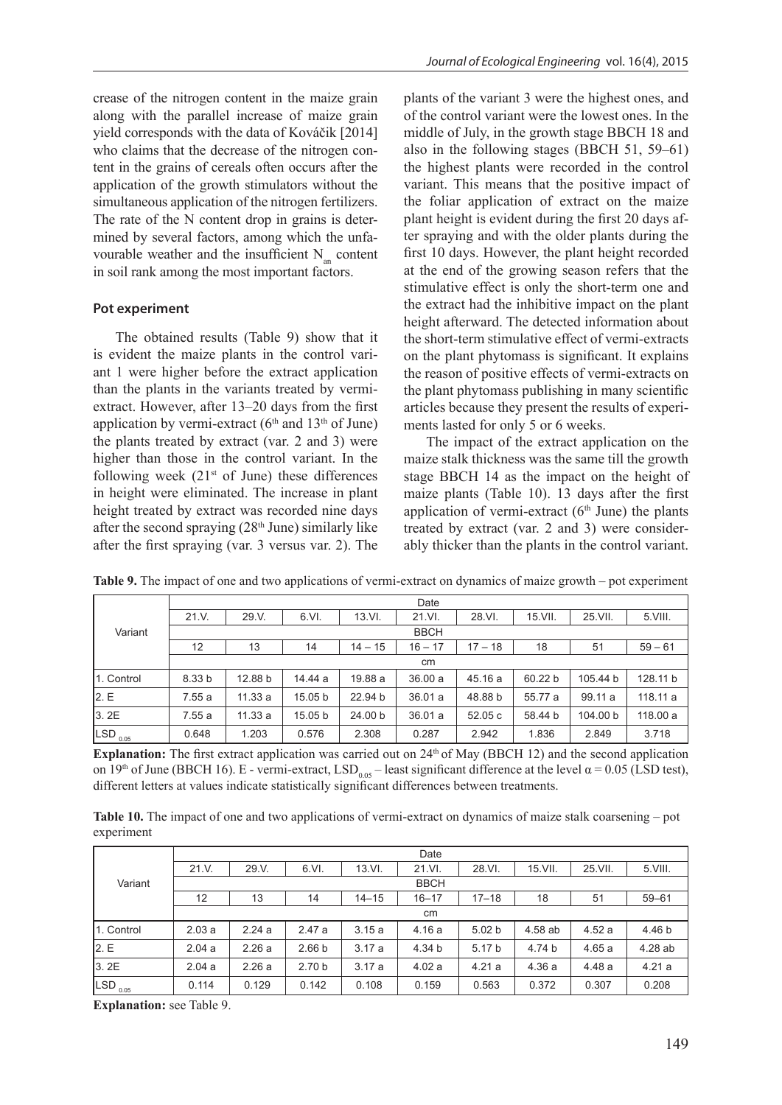crease of the nitrogen content in the maize grain along with the parallel increase of maize grain yield corresponds with the data of Kováčik [2014] who claims that the decrease of the nitrogen content in the grains of cereals often occurs after the application of the growth stimulators without the simultaneous application of the nitrogen fertilizers. The rate of the N content drop in grains is determined by several factors, among which the unfavourable weather and the insufficient  $N_{\text{max}}$  content in soil rank among the most important factors.

#### **Pot experiment**

The obtained results (Table 9) show that it is evident the maize plants in the control variant 1 were higher before the extract application than the plants in the variants treated by vermiextract. However, after 13–20 days from the first application by vermi-extract  $(6<sup>th</sup>$  and  $13<sup>th</sup>$  of June) the plants treated by extract (var. 2 and 3) were higher than those in the control variant. In the following week  $(21^{st}$  of June) these differences in height were eliminated. The increase in plant height treated by extract was recorded nine days after the second spraying  $(28<sup>th</sup>$  June) similarly like after the first spraying (var. 3 versus var. 2). The

plants of the variant 3 were the highest ones, and of the control variant were the lowest ones. In the middle of July, in the growth stage BBCH 18 and also in the following stages (BBCH 51, 59–61) the highest plants were recorded in the control variant. This means that the positive impact of the foliar application of extract on the maize plant height is evident during the first 20 days after spraying and with the older plants during the first 10 days. However, the plant height recorded at the end of the growing season refers that the stimulative effect is only the short-term one and the extract had the inhibitive impact on the plant height afterward. The detected information about the short-term stimulative effect of vermi-extracts on the plant phytomass is significant. It explains the reason of positive effects of vermi-extracts on the plant phytomass publishing in many scientific articles because they present the results of experiments lasted for only 5 or 6 weeks.

The impact of the extract application on the maize stalk thickness was the same till the growth stage BBCH 14 as the impact on the height of maize plants (Table 10). 13 days after the first application of vermi-extract  $(6<sup>th</sup>$  June) the plants treated by extract (var. 2 and 3) were considerably thicker than the plants in the control variant.

|                     |                   | Date    |         |           |           |           |         |          |           |  |  |  |  |
|---------------------|-------------------|---------|---------|-----------|-----------|-----------|---------|----------|-----------|--|--|--|--|
|                     | 21. V.            | 29.V.   | 6.VI.   | 13.VI.    | 21.VI.    | 28.VI.    | 15.VII. | 25.VII.  | 5.VIII.   |  |  |  |  |
| Variant             | <b>BBCH</b>       |         |         |           |           |           |         |          |           |  |  |  |  |
|                     | 12                | 13      | 14      | $14 - 15$ | $16 - 17$ | $17 - 18$ | 18      | 51       | $59 - 61$ |  |  |  |  |
|                     |                   | cm      |         |           |           |           |         |          |           |  |  |  |  |
| 11. Control         | 8.33 <sub>b</sub> | 12.88 b | 14.44 a | 19.88 a   | 36.00a    | 45.16 a   | 60.22 b | 105.44 b | 128.11 b  |  |  |  |  |
| 2. E                | 7.55a             | 11.33a  | 15.05 b | 22.94 b   | 36.01a    | 48.88 b   | 55.77 a | 99.11 a  | 118.11a   |  |  |  |  |
| 3.2E                | 7.55a             | 11.33a  | 15.05 b | 24.00 b   | 36.01a    | 52.05c    | 58.44 b | 104.00 b | 118.00 a  |  |  |  |  |
| LSD <sub>0.05</sub> | 0.648             | 1.203   | 0.576   | 2.308     | 0.287     | 2.942     | 1.836   | 2.849    | 3.718     |  |  |  |  |

**Table 9.** The impact of one and two applications of vermi-extract on dynamics of maize growth – pot experiment

**Explanation:** The first extract application was carried out on 24<sup>th</sup> of May (BBCH 12) and the second application on 19<sup>th</sup> of June (BBCH 16). E - vermi-extract, LSD<sub>0.05</sub> – least significant difference at the level  $\alpha$  = 0.05 (LSD test), different letters at values indicate statistically significant differences between treatments.

**Table 10.** The impact of one and two applications of vermi-extract on dynamics of maize stalk coarsening – pot experiment

|                       |             | Date          |                   |           |           |                   |            |         |           |  |  |  |  |
|-----------------------|-------------|---------------|-------------------|-----------|-----------|-------------------|------------|---------|-----------|--|--|--|--|
|                       | 21. V.      | 29.V.         | 6.VI.             | 13.VI.    | 21.VI.    | 28.VI.            | $15.$ VII. | 25.VII. | 5.VIII.   |  |  |  |  |
| Variant               | <b>BBCH</b> |               |                   |           |           |                   |            |         |           |  |  |  |  |
|                       | 12          | 13            | 14                | $14 - 15$ | $16 - 17$ | $17 - 18$         | 18         | 51      | $59 - 61$ |  |  |  |  |
|                       |             | <sub>cm</sub> |                   |           |           |                   |            |         |           |  |  |  |  |
| 1. Control            | 2.03a       | 2.24a         | 2.47a             | 3.15a     | 4.16a     | 5.02 <sub>b</sub> | 4.58 ab    | 4.52a   | 4.46 b    |  |  |  |  |
| 2.E                   | 2.04a       | 2.26a         | 2.66 <sub>b</sub> | 3.17a     | 4.34 b    | 5.17 b            | 4.74 b     | 4.65 a  | 4.28 ab   |  |  |  |  |
| 3.2E                  | 2.04a       | 2.26a         | 2.70 <sub>b</sub> | 3.17a     | 4.02a     | 4.21a             | 4.36a      | 4.48a   | 4.21a     |  |  |  |  |
| $LSD$ <sub>0.05</sub> |             |               |                   |           |           |                   |            |         |           |  |  |  |  |

**Explanation:** see Table 9.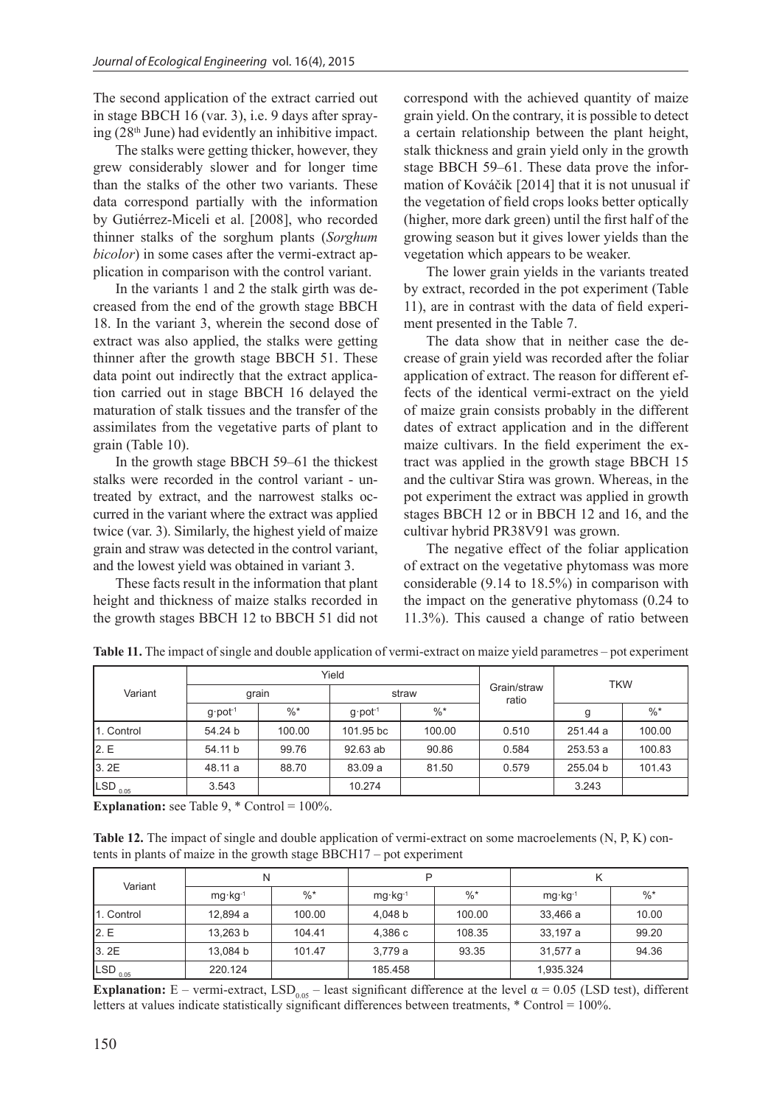The second application of the extract carried out in stage BBCH 16 (var. 3), i.e. 9 days after spraying (28th June) had evidently an inhibitive impact.

The stalks were getting thicker, however, they grew considerably slower and for longer time than the stalks of the other two variants. These data correspond partially with the information by Gutiérrez-Miceli et al. [2008], who recorded thinner stalks of the sorghum plants (*Sorghum bicolor*) in some cases after the vermi-extract application in comparison with the control variant.

In the variants 1 and 2 the stalk girth was decreased from the end of the growth stage BBCH 18. In the variant 3, wherein the second dose of extract was also applied, the stalks were getting thinner after the growth stage BBCH 51. These data point out indirectly that the extract application carried out in stage BBCH 16 delayed the maturation of stalk tissues and the transfer of the assimilates from the vegetative parts of plant to grain (Table 10).

In the growth stage BBCH 59–61 the thickest stalks were recorded in the control variant - untreated by extract, and the narrowest stalks occurred in the variant where the extract was applied twice (var. 3). Similarly, the highest yield of maize grain and straw was detected in the control variant, and the lowest yield was obtained in variant 3.

These facts result in the information that plant height and thickness of maize stalks recorded in the growth stages BBCH 12 to BBCH 51 did not

correspond with the achieved quantity of maize grain yield. On the contrary, it is possible to detect a certain relationship between the plant height, stalk thickness and grain yield only in the growth stage BBCH 59–61. These data prove the information of Kováčik [2014] that it is not unusual if the vegetation of field crops looks better optically (higher, more dark green) until the first half of the growing season but it gives lower yields than the vegetation which appears to be weaker.

The lower grain yields in the variants treated by extract, recorded in the pot experiment (Table 11), are in contrast with the data of field experiment presented in the Table 7.

The data show that in neither case the decrease of grain yield was recorded after the foliar application of extract. The reason for different effects of the identical vermi-extract on the yield of maize grain consists probably in the different dates of extract application and in the different maize cultivars. In the field experiment the extract was applied in the growth stage BBCH 15 and the cultivar Stira was grown. Whereas, in the pot experiment the extract was applied in growth stages BBCH 12 or in BBCH 12 and 16, and the cultivar hybrid PR38V91 was grown.

The negative effect of the foliar application of extract on the vegetative phytomass was more considerable (9.14 to 18.5%) in comparison with the impact on the generative phytomass (0.24 to 11.3%). This caused a change of ratio between

|                                |                       |        | Yield                 |        | <b>TKW</b>           |          |        |  |
|--------------------------------|-----------------------|--------|-----------------------|--------|----------------------|----------|--------|--|
| Variant                        |                       | grain  |                       | straw  | Grain/straw<br>ratio |          |        |  |
|                                | $q$ pot <sup>-1</sup> | $\%$ * | $q$ pot <sup>-1</sup> | $\%$ * |                      | g        | $\%$ * |  |
| 1. Control                     | 54.24 b               | 100.00 | 101.95 bc             | 100.00 | 0.510                | 251.44 a | 100.00 |  |
| 2.E                            | 54.11 b               | 99.76  | 92.63 ab              | 90.86  | 0.584                | 253.53 a | 100.83 |  |
| 3.2E                           | 48.11 a               | 88.70  | 83.09 a               | 81.50  | 0.579                | 255.04 b | 101.43 |  |
| $\overline{\text{LSD}}_{0.05}$ | 3.543                 |        | 10.274                |        |                      | 3.243    |        |  |

**Table 11.** The impact of single and double application of vermi-extract on maize yield parametres – pot experiment

**Explanation:** see Table 9,  $*$  Control = 100%.

**Table 12.** The impact of single and double application of vermi-extract on some macroelements (N, P, K) contents in plants of maize in the growth stage BBCH17 – pot experiment

| Variant                                 | N                  |        | P                  |        |                    |        |  |
|-----------------------------------------|--------------------|--------|--------------------|--------|--------------------|--------|--|
|                                         | $mg \cdot kg^{-1}$ | $\%$ * | $mg \cdot kg^{-1}$ | $\%$ * | $mg \cdot kg^{-1}$ | $\%$ * |  |
| 11. Control                             | 12,894 a           | 100.00 | 4.048 b            | 100.00 | 33,466 a           | 10.00  |  |
| 2.E                                     | 13,263 b           | 104.41 | 4,386 c            | 108.35 | 33,197 a           | 99.20  |  |
| 3.2E                                    | 13,084 b           | 101.47 | 3,779 a            | 93.35  | 31,577 a           | 94.36  |  |
| $\frac{1}{\sqrt{2}}$ SD <sub>0.05</sub> | 220.124            |        | 185.458            |        | 1,935.324          |        |  |

**Explanation:**  $E$  – vermi-extract,  $LSD_{0.05}$  – least significant difference at the level  $\alpha$  = 0.05 (LSD test), different letters at values indicate statistically significant differences between treatments, \* Control = 100%.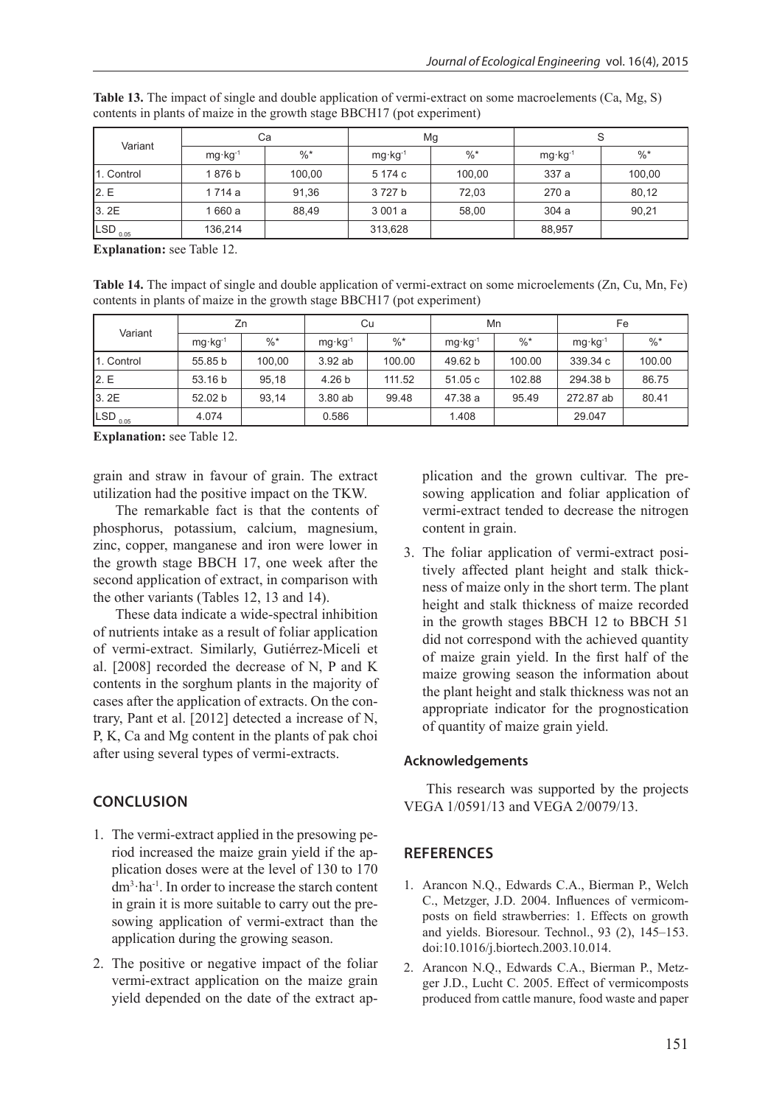| Variant                      | Сa                 |        | Mg                 |        | S                  |        |  |
|------------------------------|--------------------|--------|--------------------|--------|--------------------|--------|--|
|                              | $mg \cdot kg^{-1}$ | $\%$ * | $mg \cdot kg^{-1}$ | $\%$ * | $mg \cdot kg^{-1}$ | $\%$ * |  |
| 1. Control                   | 1876 b             | 100,00 | 5 174 c            | 100,00 | 337 a              | 100,00 |  |
| 2.E                          | 1 714 a            | 91,36  | 3727b              | 72,03  | 270 a              | 80,12  |  |
| 3.2E                         | 660 a              | 88,49  | 3 001 a            | 58,00  | 304a               | 90,21  |  |
| $\frac{1}{\text{SD}_{0.05}}$ | 136,214            |        | 313,628            |        | 88,957             |        |  |

**Table 13.** The impact of single and double application of vermi-extract on some macroelements (Ca, Mg, S) contents in plants of maize in the growth stage BBCH17 (pot experiment)

**Explanation:** see Table 12.

**Table 14.** The impact of single and double application of vermi-extract on some microelements (Zn, Cu, Mn, Fe) contents in plants of maize in the growth stage BBCH17 (pot experiment)

| Variant               | Zn                 |        | Cu                 |        | Mn                 |        | Fe                 |                 |
|-----------------------|--------------------|--------|--------------------|--------|--------------------|--------|--------------------|-----------------|
|                       | $mg \cdot kg^{-1}$ | $\%$ * | $mg \cdot kg^{-1}$ | $\%$ * | $mg \cdot kg^{-1}$ | $\%$ * | $mg \cdot kg^{-1}$ | $\frac{0}{6}$ * |
| 1. Control            | 55.85 b            | 100.00 | 3.92 ab            | 100.00 | 49.62 b            | 100.00 | 339.34 c           | 100.00          |
| 12.E                  | 53.16 b            | 95,18  | 4.26 <sub>b</sub>  | 111.52 | 51.05 c            | 102.88 | 294.38 b           | 86.75           |
| 3.2E                  | 52.02 b            | 93,14  | 3.80 ab            | 99.48  | 47.38 a            | 95.49  | 272.87 ab          | 80.41           |
| $LSD$ <sub>0.05</sub> | 4.074              |        | 0.586              |        | 1.408              |        | 29.047             |                 |

**Explanation:** see Table 12.

grain and straw in favour of grain. The extract utilization had the positive impact on the TKW.

The remarkable fact is that the contents of phosphorus, potassium, calcium, magnesium, zinc, copper, manganese and iron were lower in the growth stage BBCH 17, one week after the second application of extract, in comparison with the other variants (Tables 12, 13 and 14).

These data indicate a wide-spectral inhibition of nutrients intake as a result of foliar application of vermi-extract. Similarly, Gutiérrez-Miceli et al. [2008] recorded the decrease of N, P and K contents in the sorghum plants in the majority of cases after the application of extracts. On the contrary, Pant et al. [2012] detected a increase of N, P, K, Ca and Mg content in the plants of pak choi after using several types of vermi-extracts.

## **CONCLUSION**

- 1. The vermi-extract applied in the presowing period increased the maize grain yield if the application doses were at the level of 130 to 170 dm3 ·ha-1. In order to increase the starch content in grain it is more suitable to carry out the presowing application of vermi-extract than the application during the growing season.
- 2. The positive or negative impact of the foliar vermi-extract application on the maize grain yield depended on the date of the extract ap-

plication and the grown cultivar. The presowing application and foliar application of vermi-extract tended to decrease the nitrogen content in grain.

3. The foliar application of vermi-extract positively affected plant height and stalk thickness of maize only in the short term. The plant height and stalk thickness of maize recorded in the growth stages BBCH 12 to BBCH 51 did not correspond with the achieved quantity of maize grain yield. In the first half of the maize growing season the information about the plant height and stalk thickness was not an appropriate indicator for the prognostication of quantity of maize grain yield.

### **Acknowledgements**

This research was supported by the projects VEGA 1/0591/13 and VEGA 2/0079/13.

## **REFERENCES**

- 1. Arancon N.Q., Edwards C.A., Bierman P., Welch C., Metzger, J.D. 2004. Influences of vermicomposts on field strawberries: 1. Effects on growth and yields. Bioresour. Technol., 93 (2), 145–153. doi:10.1016/j.biortech.2003.10.014.
- 2. Arancon N.Q., Edwards C.A., Bierman P., Metzger J.D., Lucht C. 2005. Effect of vermicomposts produced from cattle manure, food waste and paper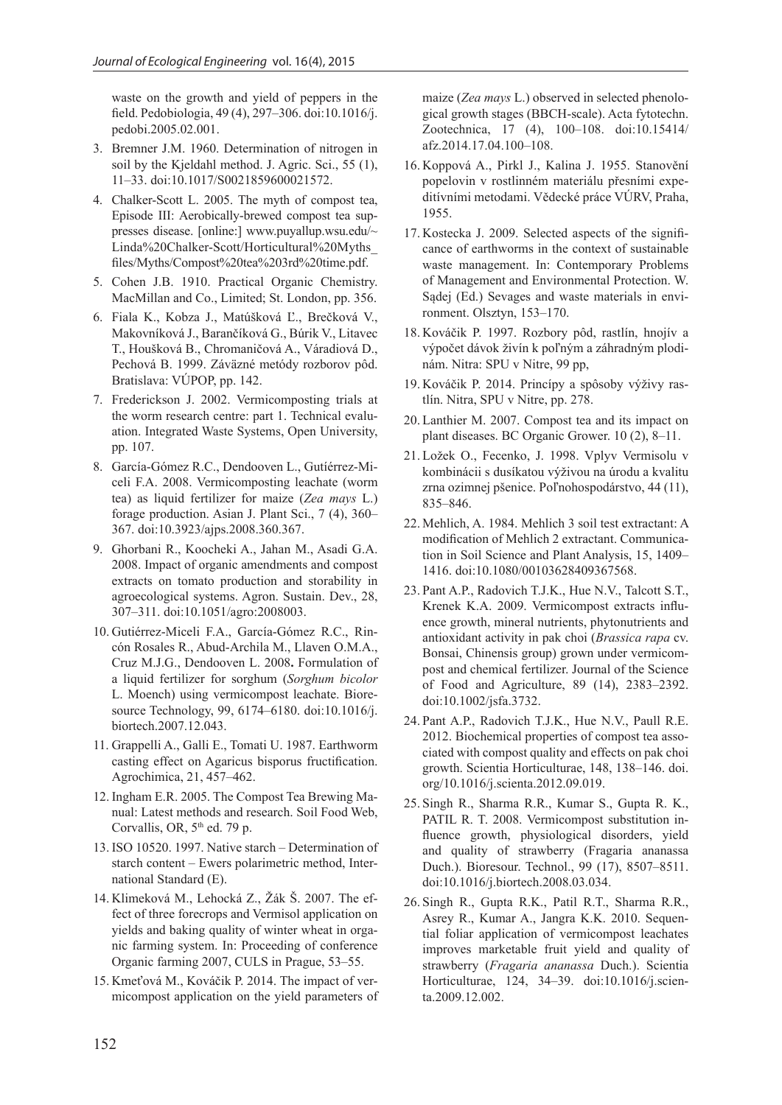waste on the growth and yield of peppers in the field. Pedobiologia, 49 (4), 297–306. doi:10.1016/j. pedobi.2005.02.001.

- 3. Bremner J.M. 1960. Determination of nitrogen in soil by the Kjeldahl method. J. Agric. Sci., 55 (1), 11–33. doi:10.1017/S0021859600021572.
- 4. Chalker-Scott L. 2005. The myth of compost tea, Episode III: Aerobically-brewed compost tea suppresses disease. [online:] www.puyallup.wsu.edu/~ Linda%20Chalker-Scott/Horticultural%20Myths\_ files/Myths/Compost%20tea%203rd%20time.pdf.
- 5. Cohen J.B. 1910. Practical Organic Chemistry. MacMillan and Co., Limited; St. London, pp. 356.
- 6. Fiala K., Kobza J., Matúšková Ľ., Brečková V., Makovníková J., Barančíková G., Búrik V., Litavec T., Houšková B., Chromaničová A., Váradiová D., Pechová B. 1999. Záväzné metódy rozborov pôd. Bratislava: VÚPOP, pp. 142.
- 7. Frederickson J. 2002. Vermicomposting trials at the worm research centre: part 1. Technical evaluation. Integrated Waste Systems, Open University, pp. 107.
- 8. García-Gómez R.C., Dendooven L., Gutíérrez-Miceli F.A. 2008. Vermicomposting leachate (worm tea) as liquid fertilizer for maize (*Zea mays* L.) forage production. Asian J. Plant Sci., 7 (4), 360– 367. doi:10.3923/ajps.2008.360.367.
- 9. Ghorbani R., Koocheki A., Jahan M., Asadi G.A. 2008. Impact of organic amendments and compost extracts on tomato production and storability in agroecological systems. Agron. Sustain. Dev., 28, 307–311. doi:10.1051/agro:2008003.
- 10. Gutiérrez-Miceli F.A., García-Gómez R.C., Rincón Rosales R., Abud-Archila M., Llaven O.M.A., Cruz M.J.G., Dendooven L. 2008**.** Formulation of a liquid fertilizer for sorghum (*Sorghum bicolor* L. Moench) using vermicompost leachate. Bioresource Technology, 99, 6174–6180. doi:10.1016/j. biortech.2007.12.043.
- 11. Grappelli A., Galli E., Tomati U. 1987. Earthworm casting effect on Agaricus bisporus fructification. Agrochimica, 21, 457–462.
- 12. Ingham E.R. 2005. The Compost Tea Brewing Manual: Latest methods and research. Soil Food Web, Corvallis, OR,  $5<sup>th</sup>$  ed. 79 p.
- 13. ISO 10520. 1997. Native starch Determination of starch content – Ewers polarimetric method, International Standard (E).
- 14. Klimeková M., Lehocká Z., Žák Š. 2007. The effect of three forecrops and Vermisol application on yields and baking quality of winter wheat in organic farming system. In: Proceeding of conference Organic farming 2007, CULS in Prague, 53–55.
- 15. Kmeťová M., Kováčik P. 2014. The impact of vermicompost application on the yield parameters of

maize (*Zea mays* L.) observed in selected phenological growth stages (BBCH-scale). Acta fytotechn. Zootechnica, 17 (4), 100–108. doi:10.15414/ afz.2014.17.04.100–108.

- 16. Koppová A., Pirkl J., Kalina J. 1955. Stanovění popelovin v rostlinném materiálu přesními expeditívními metodami. Vědecké práce VÚRV, Praha, 1955.
- 17. Kostecka J. 2009. Selected aspects of the significance of earthworms in the context of sustainable waste management. In: Contemporary Problems of Management and Environmental Protection. W. Sądej (Ed.) Sevages and waste materials in environment. Olsztyn, 153–170.
- 18. Kováčik P. 1997. Rozbory pôd, rastlín, hnojív a výpočet dávok živín k poľným a záhradným plodinám. Nitra: SPU v Nitre, 99 pp,
- 19. Kováčik P. 2014. Princípy a spôsoby výživy rastlín. Nitra, SPU v Nitre, pp. 278.
- 20. Lanthier M. 2007. Compost tea and its impact on plant diseases. BC Organic Grower. 10 (2), 8–11.
- 21. Ložek O., Fecenko, J. 1998. Vplyv Vermisolu v kombinácii s dusíkatou výživou na úrodu a kvalitu zrna ozimnej pšenice. Poľnohospodárstvo, 44 (11), 835–846.
- 22. Mehlich, A. 1984. Mehlich 3 soil test extractant: A modification of Mehlich 2 extractant. Communication in Soil Science and Plant Analysis, 15, 1409– 1416. doi:10.1080/00103628409367568.
- 23. Pant A.P., Radovich T.J.K., Hue N.V., Talcott S.T., Krenek K.A. 2009. Vermicompost extracts influence growth, mineral nutrients, phytonutrients and antioxidant activity in pak choi (*Brassica rapa* cv. Bonsai, Chinensis group) grown under vermicompost and chemical fertilizer. Journal of the Science of Food and Agriculture, 89 (14), 2383–2392. doi:10.1002/jsfa.3732.
- 24. Pant A.P., Radovich T.J.K., Hue N.V., Paull R.E. 2012. Biochemical properties of compost tea associated with compost quality and effects on pak choi growth. Scientia Horticulturae, 148, 138–146. doi. org/10.1016/j.scienta.2012.09.019.
- 25. Singh R., Sharma R.R., Kumar S., Gupta R. K., PATIL R. T. 2008. Vermicompost substitution influence growth, physiological disorders, yield and quality of strawberry (Fragaria ananassa Duch.). Bioresour. Technol., 99 (17), 8507–8511. doi:10.1016/j.biortech.2008.03.034.
- 26. Singh R., Gupta R.K., Patil R.T., Sharma R.R., Asrey R., Kumar A., Jangra K.K. 2010. Sequential foliar application of vermicompost leachates improves marketable fruit yield and quality of strawberry (*Fragaria ananassa* Duch.). Scientia Horticulturae, 124, 34–39. doi:10.1016/j.scienta.2009.12.002.